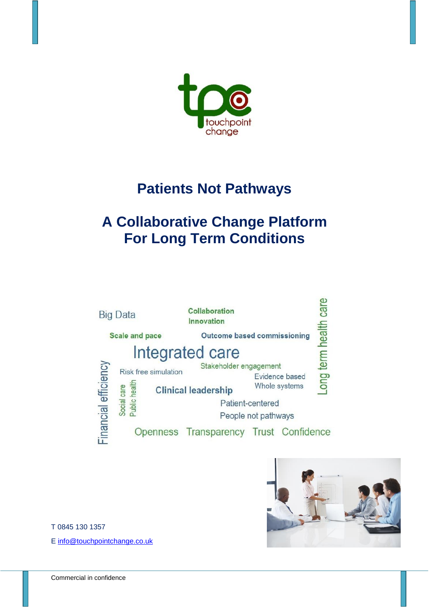

## **Patients Not Pathways**

## **A Collaborative Change Platform For Long Term Conditions**





T 0845 130 1357

E [info@touchpointchange.co.uk](mailto:info@touchpointchange.co.uk)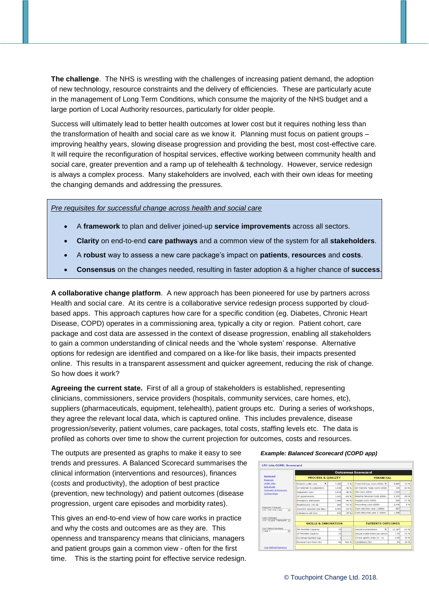**The challenge**. The NHS is wrestling with the challenges of increasing patient demand, the adoption of new technology, resource constraints and the delivery of efficiencies. These are particularly acute in the management of Long Term Conditions, which consume the majority of the NHS budget and a large portion of Local Authority resources, particularly for older people.

Success will ultimately lead to better health outcomes at lower cost but it requires nothing less than the transformation of health and social care as we know it. Planning must focus on patient groups – improving healthy years, slowing disease progression and providing the best, most cost-effective care. It will require the reconfiguration of hospital services, effective working between community health and social care, greater prevention and a ramp up of telehealth & technology. However, service redesign is always a complex process. Many stakeholders are involved, each with their own ideas for meeting the changing demands and addressing the pressures.

## *Pre requisites for successful change across health and social care*

- A **framework** to plan and deliver joined-up **service improvements** across all sectors.
- **Clarity** on end-to-end **care pathways** and a common view of the system for all **stakeholders**.
- A **robust** way to assess a new care package's impact on **patients**, **resources** and **costs**.
- **Consensus** on the changes needed, resulting in faster adoption & a higher chance of **success**.

**A collaborative change platform**. A new approach has been pioneered for use by partners across Health and social care. At its centre is a collaborative service redesign process supported by cloudbased apps. This approach captures how care for a specific condition (eg. Diabetes, Chronic Heart Disease, COPD) operates in a commissioning area, typically a city or region. Patient cohort, care package and cost data are assessed in the context of disease progression, enabling all stakeholders to gain a common understanding of clinical needs and the 'whole system' response. Alternative options for redesign are identified and compared on a like-for like basis, their impacts presented online. This results in a transparent assessment and quicker agreement, reducing the risk of change. So how does it work?

**Agreeing the current state.** First of all a group of stakeholders is established, representing clinicians, commissioners, service providers (hospitals, community services, care homes, etc), suppliers (pharmaceuticals, equipment, telehealth), patient groups etc. During a series of workshops, they agree the relevant local data, which is captured online. This includes prevalence, disease progression/severity, patient volumes, care packages, total costs, staffing levels etc. The data is profiled as cohorts over time to show the current projection for outcomes, costs and resources.

The outputs are presented as graphs to make it easy to see *Example: Balanced Scorecard (COPD app)* trends and pressures. A Balanced Scorecard summarises the clinical information (interventions and resources), finances (costs and productivity), the adoption of best practice (prevention, new technology) and patient outcomes (disease progression, urgent care episodes and morbidity rates).

This gives an end-to-end view of how care works in practice and why the costs and outcomes are as they are. This openness and transparency means that clinicians, managers and patient groups gain a common view - often for the first time. This is the starting point for effective service redesign.

| Scorecard<br>Diagnosis                                         | <b>Outcomes Scorecard</b>       |                |          |                                |        |          |
|----------------------------------------------------------------|---------------------------------|----------------|----------|--------------------------------|--------|----------|
|                                                                | <b>PROCESS &amp; QUALITY</b>    |                |          | <b>FINANCIAL</b>               |        |          |
| <b>Under Care</b>                                              | $\cdot$<br>Patients under care. | 7:100          | 0.96     | Total Pathway Costs £000s      | 0.003  | $-15%$   |
| End of Life<br><b>Scenarios &amp; Forecasts</b><br>System Maps | GP referrals to outpatients.    | 1.034          | $-40.96$ | GP Practice Team costs £000s   | 129    | $-63%$   |
|                                                                | Outpatient vists                | 3,878          | $-40.96$ | <b>IDS Costs £000s</b>         | 1,013  |          |
|                                                                | GP appointments                 | 7,450          | $-63.96$ | Hospital Services Costs £000s  | 3,272  | $-29.96$ |
|                                                                | Emergency admissions            | 1,449          | $-40.96$ | Oxygen costs £000s             | 916    | $-17%$   |
|                                                                | Readmissions <30 da             | 269            | $-41.96$ | Prescribing costs £000s        | 2.440  | 0%       |
| Diagnosis Forecast<br>S1: Flat Line Case<br>×                  | Inpatient episodes bed days     | 4.403          | $-60$ %  | Cost reduction year 1, £000s   | 8S7    |          |
|                                                                | Ambulance call outs             | 610            | $-39.96$ | Cost Reduction year 3 £000s    | 1.498  |          |
| Care Packages                                                  |                                 |                |          |                                |        |          |
| C4: C3 plus Telehealth -                                       | <b>SKILLS &amp; INNOVATION</b>  |                |          | <b>PATIENTS OUTCOMES</b>       |        |          |
| Cost Reduction Base<br>$\overline{\phantom{a}}$<br>Year 2      | <b>IRS Reskilled Capacity</b>   | 10             |          | Annual exacerbations<br>۰      | 12,107 | $-25.96$ |
|                                                                | GP Reskilled Capacity           | 18             |          | Annual exaberations per person | 1.70   | $-25%$   |
|                                                                | Pul Rehab Reskilled Cap         | $\overline{4}$ |          | Clinical quality index (0 - 1) | 0.99   | 66 %     |
|                                                                | Personal Care Plans (%).        | 99             | 400.96   | Compliance (%)                 | 94     | 89 %     |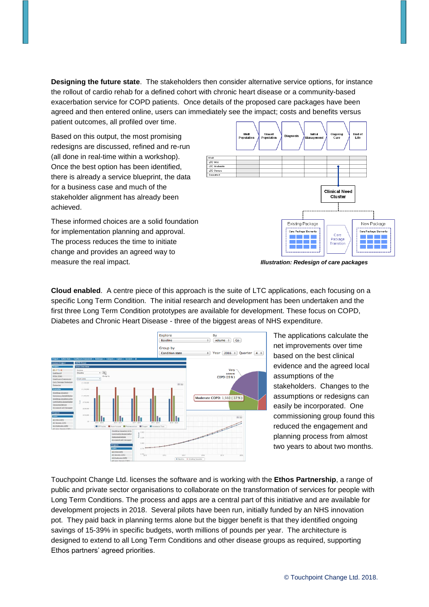**Designing the future state**. The stakeholders then consider alternative service options, for instance the rollout of cardio rehab for a defined cohort with chronic heart disease or a community-based exacerbation service for COPD patients. Once details of the proposed care packages have been agreed and then entered online, users can immediately see the impact; costs and benefits versus patient outcomes, all profiled over time.

Based on this output, the most promising redesigns are discussed, refined and re-run (all done in real-time within a workshop). Once the best option has been identified, there is already a service blueprint, the data for a business case and much of the stakeholder alignment has already been achieved.

These informed choices are a solid foundation for implementation planning and approval. The process reduces the time to initiate change and provides an agreed way to measure the real impact. *Illustration: Redesign of care packages*



**Cloud enabled**. A centre piece of this approach is the suite of LTC applications, each focusing on a specific Long Term Condition. The initial research and development has been undertaken and the first three Long Term Condition prototypes are available for development. These focus on COPD, Diabetes and Chronic Heart Disease - three of the biggest areas of NHS expenditure.



The applications calculate the net improvements over time based on the best clinical evidence and the agreed local assumptions of the stakeholders. Changes to the assumptions or redesigns can easily be incorporated. One commissioning group found this reduced the engagement and planning process from almost two years to about two months.

Touchpoint Change Ltd. licenses the software and is working with the **Ethos Partnership**, a range of public and private sector organisations to collaborate on the transformation of services for people with Long Term Conditions. The process and apps are a central part of this initiative and are available for development projects in 2018. Several pilots have been run, initially funded by an NHS innovation pot. They paid back in planning terms alone but the bigger benefit is that they identified ongoing savings of 15-39% in specific budgets, worth millions of pounds per year. The architecture is designed to extend to all Long Term Conditions and other disease groups as required, supporting Ethos partners' agreed priorities.